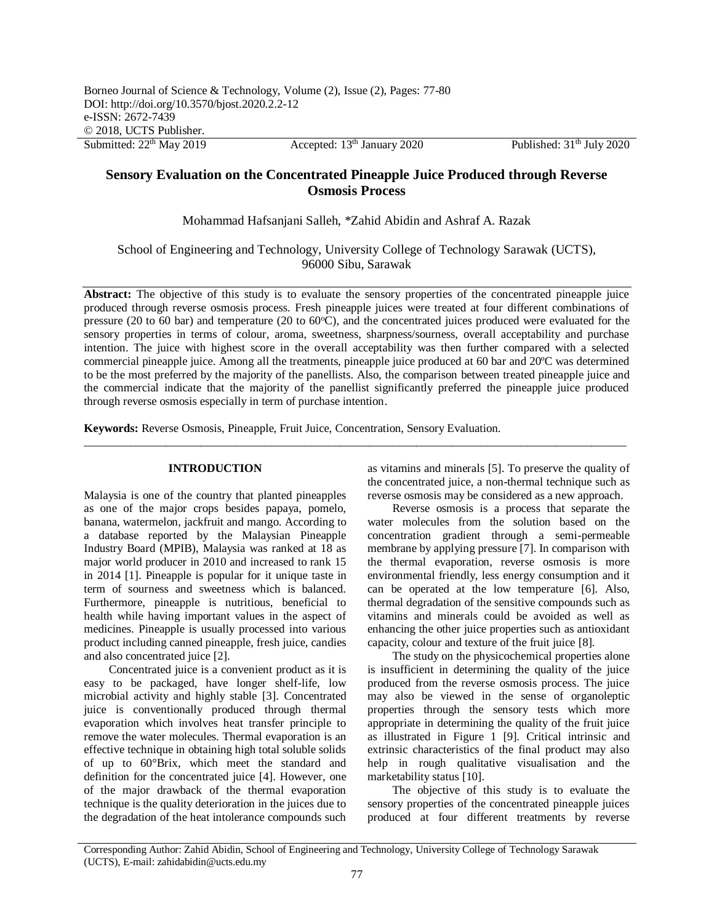# **Sensory Evaluation on the Concentrated Pineapple Juice Produced through Reverse Osmosis Process**

Mohammad Hafsanjani Salleh, \*Zahid Abidin and Ashraf A. Razak

School of Engineering and Technology, University College of Technology Sarawak (UCTS), 96000 Sibu, Sarawak

Abstract: The objective of this study is to evaluate the sensory properties of the concentrated pineapple juice produced through reverse osmosis process. Fresh pineapple juices were treated at four different combinations of pressure (20 to 60 bar) and temperature (20 to 60°C), and the concentrated juices produced were evaluated for the sensory properties in terms of colour, aroma, sweetness, sharpness/sourness, overall acceptability and purchase intention. The juice with highest score in the overall acceptability was then further compared with a selected commercial pineapple juice. Among all the treatments, pineapple juice produced at 60 bar and 20ºC was determined to be the most preferred by the majority of the panellists. Also, the comparison between treated pineapple juice and the commercial indicate that the majority of the panellist significantly preferred the pineapple juice produced through reverse osmosis especially in term of purchase intention.

 $\_$  ,  $\_$  ,  $\_$  ,  $\_$  ,  $\_$  ,  $\_$  ,  $\_$  ,  $\_$  ,  $\_$  ,  $\_$  ,  $\_$  ,  $\_$  ,  $\_$  ,  $\_$  ,  $\_$  ,  $\_$  ,  $\_$  ,  $\_$  ,  $\_$  ,  $\_$  ,  $\_$  ,  $\_$  ,  $\_$  ,  $\_$  ,  $\_$  ,  $\_$  ,  $\_$  ,  $\_$  ,  $\_$  ,  $\_$  ,  $\_$  ,  $\_$  ,  $\_$  ,  $\_$  ,  $\_$  ,  $\_$  ,  $\_$  ,

**Keywords:** Reverse Osmosis, Pineapple, Fruit Juice, Concentration, Sensory Evaluation.

# **INTRODUCTION**

Malaysia is one of the country that planted pineapples as one of the major crops besides papaya, pomelo, banana, watermelon, jackfruit and mango. According to a database reported by the Malaysian Pineapple Industry Board (MPIB), Malaysia was ranked at 18 as major world producer in 2010 and increased to rank 15 in 2014 [1]. Pineapple is popular for it unique taste in term of sourness and sweetness which is balanced. Furthermore, pineapple is nutritious, beneficial to health while having important values in the aspect of medicines. Pineapple is usually processed into various product including canned pineapple, fresh juice, candies and also concentrated juice [2].

Concentrated juice is a convenient product as it is easy to be packaged, have longer shelf-life, low microbial activity and highly stable [3]. Concentrated juice is conventionally produced through thermal evaporation which involves heat transfer principle to remove the water molecules. Thermal evaporation is an effective technique in obtaining high total soluble solids of up to 60°Brix, which meet the standard and definition for the concentrated juice [4]. However, one of the major drawback of the thermal evaporation technique is the quality deterioration in the juices due to the degradation of the heat intolerance compounds such

as vitamins and minerals [5]. To preserve the quality of the concentrated juice, a non-thermal technique such as reverse osmosis may be considered as a new approach.

Reverse osmosis is a process that separate the water molecules from the solution based on the concentration gradient through a semi-permeable membrane by applying pressure [7]. In comparison with the thermal evaporation, reverse osmosis is more environmental friendly, less energy consumption and it can be operated at the low temperature [6]. Also, thermal degradation of the sensitive compounds such as vitamins and minerals could be avoided as well as enhancing the other juice properties such as antioxidant capacity, colour and texture of the fruit juice [8].

The study on the physicochemical properties alone is insufficient in determining the quality of the juice produced from the reverse osmosis process. The juice may also be viewed in the sense of organoleptic properties through the sensory tests which more appropriate in determining the quality of the fruit juice as illustrated in Figure 1 [9]. Critical intrinsic and extrinsic characteristics of the final product may also help in rough qualitative visualisation and the marketability status [10].

The objective of this study is to evaluate the sensory properties of the concentrated pineapple juices produced at four different treatments by reverse

Corresponding Author: Zahid Abidin, School of Engineering and Technology, University College of Technology Sarawak (UCTS), E-mail[: zahidabidin@ucts.edu.my](mailto:zahidabidin@ucts.edu.my)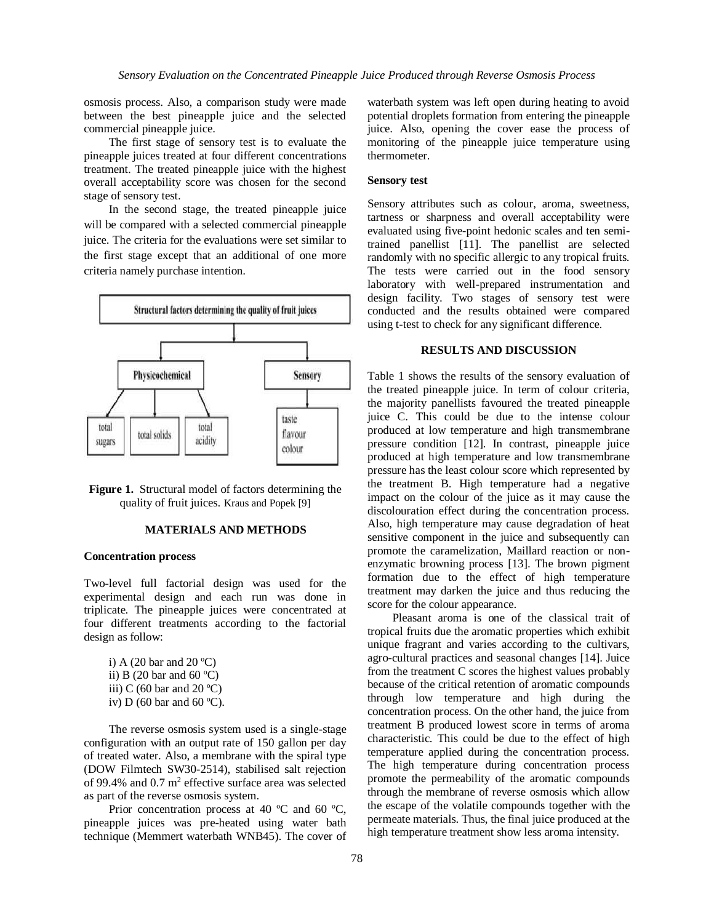osmosis process. Also, a comparison study were made between the best pineapple juice and the selected commercial pineapple juice.

The first stage of sensory test is to evaluate the pineapple juices treated at four different concentrations treatment. The treated pineapple juice with the highest overall acceptability score was chosen for the second stage of sensory test.

In the second stage, the treated pineapple juice will be compared with a selected commercial pineapple juice. The criteria for the evaluations were set similar to the first stage except that an additional of one more criteria namely purchase intention.



**Figure 1.** Structural model of factors determining the quality of fruit juices. Kraus and Popek [9]

## **MATERIALS AND METHODS**

## **Concentration process**

Two-level full factorial design was used for the experimental design and each run was done in triplicate. The pineapple juices were concentrated at four different treatments according to the factorial design as follow:

| i) A (20 bar and 20 °C)             |
|-------------------------------------|
| ii) B (20 bar and 60 $^{\circ}$ C)  |
| iii) C (60 bar and 20 °C)           |
| iv) D (60 bar and 60 $^{\circ}$ C). |

The reverse osmosis system used is a single-stage configuration with an output rate of 150 gallon per day of treated water. Also, a membrane with the spiral type (DOW Filmtech SW30-2514), stabilised salt rejection of 99.4% and  $0.7 \text{ m}^2$  effective surface area was selected as part of the reverse osmosis system.

Prior concentration process at 40 °C and 60 °C, pineapple juices was pre-heated using water bath technique (Memmert waterbath WNB45). The cover of waterbath system was left open during heating to avoid potential droplets formation from entering the pineapple juice. Also, opening the cover ease the process of monitoring of the pineapple juice temperature using thermometer.

# **Sensory test**

Sensory attributes such as colour, aroma, sweetness, tartness or sharpness and overall acceptability were evaluated using five-point hedonic scales and ten semitrained panellist [11]. The panellist are selected randomly with no specific allergic to any tropical fruits. The tests were carried out in the food sensory laboratory with well-prepared instrumentation and design facility. Two stages of sensory test were conducted and the results obtained were compared using t-test to check for any significant difference.

#### **RESULTS AND DISCUSSION**

Table 1 shows the results of the sensory evaluation of the treated pineapple juice. In term of colour criteria, the majority panellists favoured the treated pineapple juice C. This could be due to the intense colour produced at low temperature and high transmembrane pressure condition [12]. In contrast, pineapple juice produced at high temperature and low transmembrane pressure has the least colour score which represented by the treatment B. High temperature had a negative impact on the colour of the juice as it may cause the discolouration effect during the concentration process. Also, high temperature may cause degradation of heat sensitive component in the juice and subsequently can promote the caramelization, Maillard reaction or nonenzymatic browning process [13]. The brown pigment formation due to the effect of high temperature treatment may darken the juice and thus reducing the score for the colour appearance.

Pleasant aroma is one of the classical trait of tropical fruits due the aromatic properties which exhibit unique fragrant and varies according to the cultivars, agro-cultural practices and seasonal changes [14]. Juice from the treatment C scores the highest values probably because of the critical retention of aromatic compounds through low temperature and high during the concentration process. On the other hand, the juice from treatment B produced lowest score in terms of aroma characteristic. This could be due to the effect of high temperature applied during the concentration process. The high temperature during concentration process promote the permeability of the aromatic compounds through the membrane of reverse osmosis which allow the escape of the volatile compounds together with the permeate materials. Thus, the final juice produced at the high temperature treatment show less aroma intensity.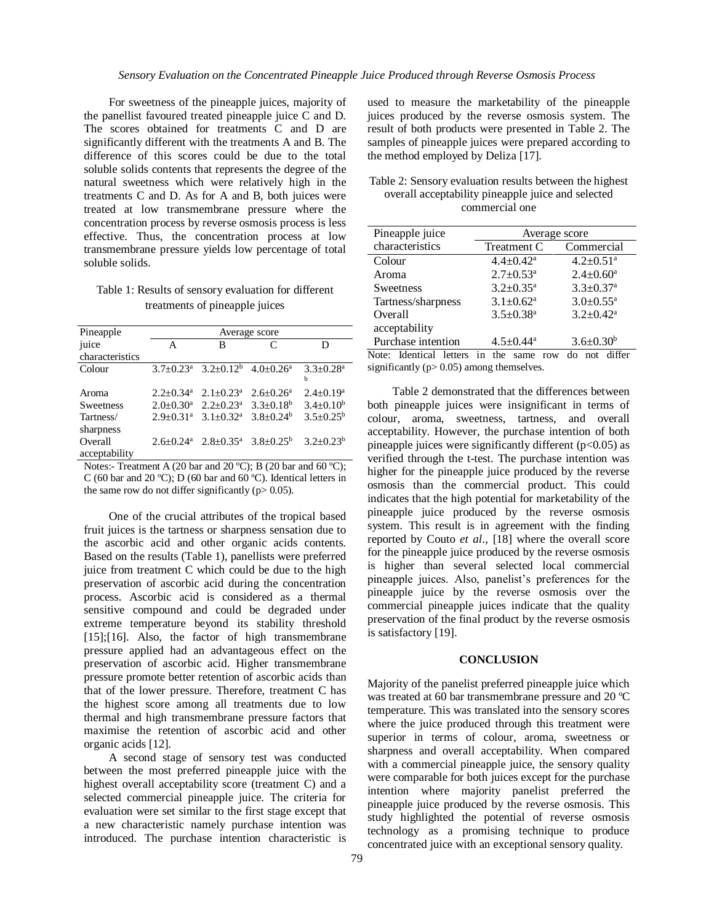For sweetness of the pineapple juices, majority of the panellist favoured treated pineapple juice C and D. The scores obtained for treatments C and D are significantly different with the treatments A and B. The difference of this scores could be due to the total soluble solids contents that represents the degree of the natural sweetness which were relatively high in the treatments C and D. As for A and B, both juices were treated at low transmembrane pressure where the concentration process by reverse osmosis process is less effective. Thus, the concentration process at low transmembrane pressure yields low percentage of total soluble solids.

Table 1: Results of sensory evaluation for different treatments of pineapple juices

| Pineapple                | Average score               |                                                                         |   |                                |
|--------------------------|-----------------------------|-------------------------------------------------------------------------|---|--------------------------------|
| juice                    | A                           | в                                                                       | C | D                              |
| characteristics          |                             |                                                                         |   |                                |
| Colour                   |                             | $3.7\pm0.23^a$ $3.2\pm0.12^b$ $4.0\pm0.26^a$                            |   | $3.3 + 0.28$ <sup>a</sup><br>h |
| Aroma                    | $2.2 \pm 0.34$ <sup>a</sup> | $2.1 \pm 0.23^{\text{a}}$ $2.6 \pm 0.26^{\text{a}}$                     |   | $2.4 \pm 0.19^a$               |
| Sweetness                | $2.0 \pm 0.30^{\text{a}}$   | $2.2 \pm 0.23^{\text{a}}$ 3.3 $\pm 0.18^{\text{b}}$                     |   | $3.4 \pm 0.10^b$               |
| Tartness/<br>sharpness   | $2.9 + 0.31$ <sup>a</sup>   | $3.1+0.32^a$ $3.8+0.24^b$                                               |   | $3.5 + 0.25^b$                 |
| Overall<br>acceptability |                             | $2.6\pm0.24^{\text{a}}$ $2.8\pm0.35^{\text{a}}$ $3.8\pm0.25^{\text{b}}$ |   | $3.2 + 0.23^b$                 |

Notes:- Treatment A (20 bar and 20 °C); B (20 bar and 60 °C); C (60 bar and 20 ºC); D (60 bar and 60 ºC). Identical letters in the same row do not differ significantly ( $p$  > 0.05).

One of the crucial attributes of the tropical based fruit juices is the tartness or sharpness sensation due to the ascorbic acid and other organic acids contents. Based on the results (Table 1), panellists were preferred juice from treatment C which could be due to the high preservation of ascorbic acid during the concentration process. Ascorbic acid is considered as a thermal sensitive compound and could be degraded under extreme temperature beyond its stability threshold [15];[16]. Also, the factor of high transmembrane pressure applied had an advantageous effect on the preservation of ascorbic acid. Higher transmembrane pressure promote better retention of ascorbic acids than that of the lower pressure. Therefore, treatment C has the highest score among all treatments due to low thermal and high transmembrane pressure factors that maximise the retention of ascorbic acid and other organic acids [12].

A second stage of sensory test was conducted between the most preferred pineapple juice with the highest overall acceptability score (treatment C) and a selected commercial pineapple juice. The criteria for evaluation were set similar to the first stage except that a new characteristic namely purchase intention was introduced. The purchase intention characteristic is

used to measure the marketability of the pineapple juices produced by the reverse osmosis system. The result of both products were presented in Table 2. The samples of pineapple juices were prepared according to the method employed by Deliza [17].

Table 2: Sensory evaluation results between the highest overall acceptability pineapple juice and selected commercial one

| Pineapple juice         | Average score                                            |                             |  |
|-------------------------|----------------------------------------------------------|-----------------------------|--|
| characteristics         | Treatment C                                              | Commercial                  |  |
| Colour                  | $4.4 \pm 0.42^a$                                         | $4.2 \pm 0.51$ <sup>a</sup> |  |
| Aroma                   | $2.7 \pm 0.53$ <sup>a</sup>                              | $2.4 \pm 0.60^a$            |  |
| <b>Sweetness</b>        | $3.2 \pm 0.35^a$                                         | $3.3 \pm 0.37$ <sup>a</sup> |  |
| Tartness/sharpness      | $3.1 \pm 0.62^a$                                         | $3.0 \pm 0.55$ <sup>a</sup> |  |
| Overall                 | $3.5 \pm 0.38$ <sup>a</sup>                              | $3.2 \pm 0.42^a$            |  |
| acceptability           |                                                          |                             |  |
| Purchase intention      | $4.5 \pm 0.44$ <sup>a</sup>                              | $3.6 \pm 0.30^b$            |  |
| Noto: Identical letters | $_{\text{tho}}$<br>$_{\alpha\alpha}$<br>max <sub>1</sub> | $\frac{1}{2}$ not diffor    |  |

Note: Identical letters in the same row do not differ significantly ( $p > 0.05$ ) among themselves.

Table 2 demonstrated that the differences between both pineapple juices were insignificant in terms of colour, aroma, sweetness, tartness, and overall acceptability. However, the purchase intention of both pineapple juices were significantly different  $(p<0.05)$  as verified through the t-test. The purchase intention was higher for the pineapple juice produced by the reverse osmosis than the commercial product. This could indicates that the high potential for marketability of the pineapple juice produced by the reverse osmosis system. This result is in agreement with the finding reported by Couto *et al*., [18] where the overall score for the pineapple juice produced by the reverse osmosis is higher than several selected local commercial pineapple juices. Also, panelist's preferences for the pineapple juice by the reverse osmosis over the commercial pineapple juices indicate that the quality preservation of the final product by the reverse osmosis is satisfactory [19].

## **CONCLUSION**

Majority of the panelist preferred pineapple juice which was treated at 60 bar transmembrane pressure and 20 ºC temperature. This was translated into the sensory scores where the juice produced through this treatment were superior in terms of colour, aroma, sweetness or sharpness and overall acceptability. When compared with a commercial pineapple juice, the sensory quality were comparable for both juices except for the purchase intention where majority panelist preferred the pineapple juice produced by the reverse osmosis. This study highlighted the potential of reverse osmosis technology as a promising technique to produce concentrated juice with an exceptional sensory quality.